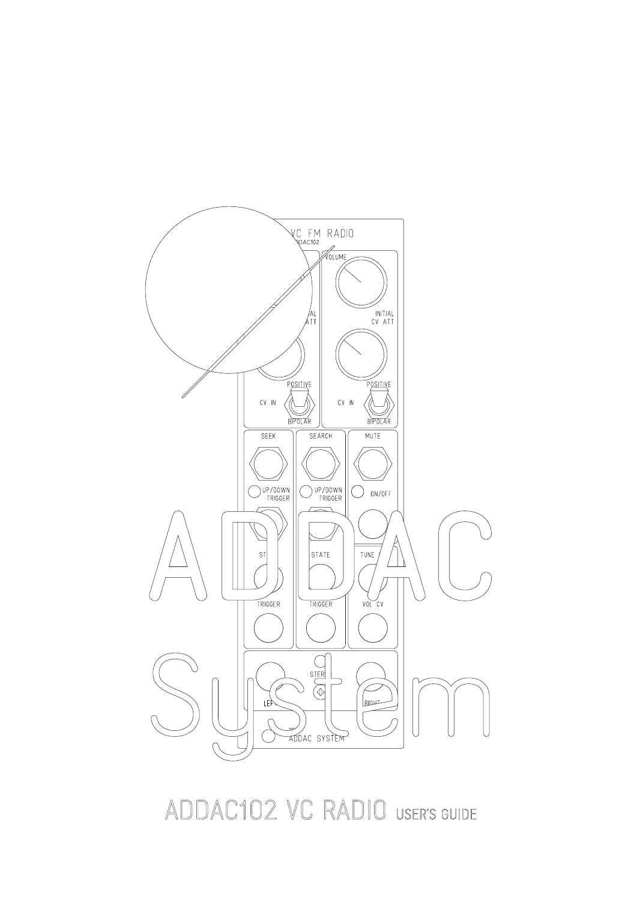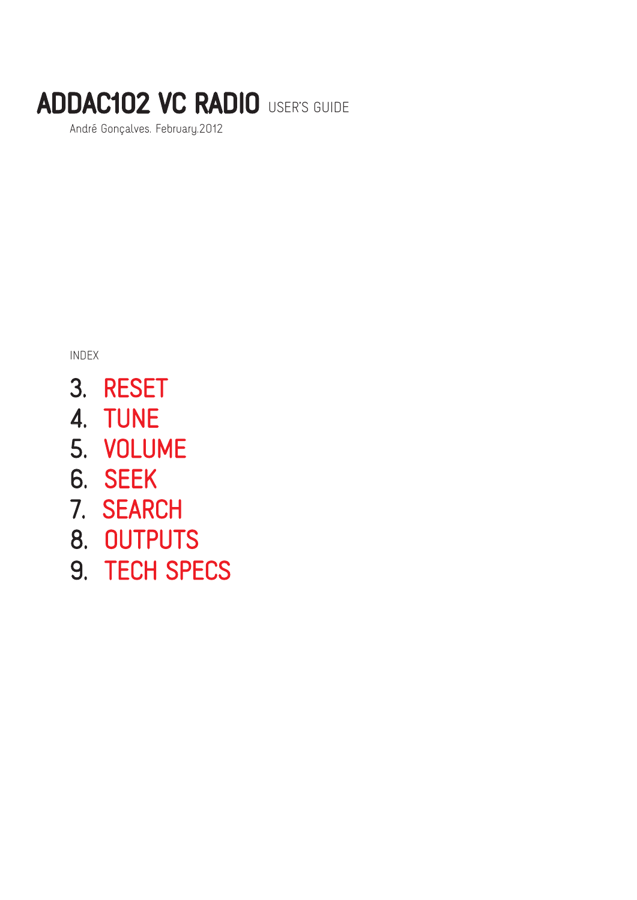André Gonçalves. February.2012

INDEX

- 3. RESET
- 4. TUNE
- 5. VOLUME
- 6. SEEK
- 7. SEARCH
- 8. OUTPUTS
- 9. TECH SPECS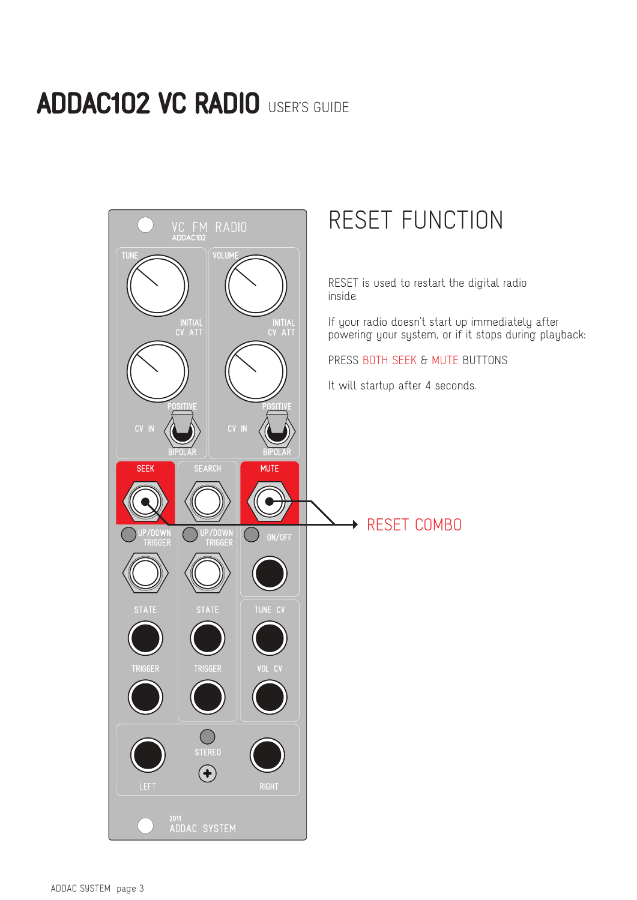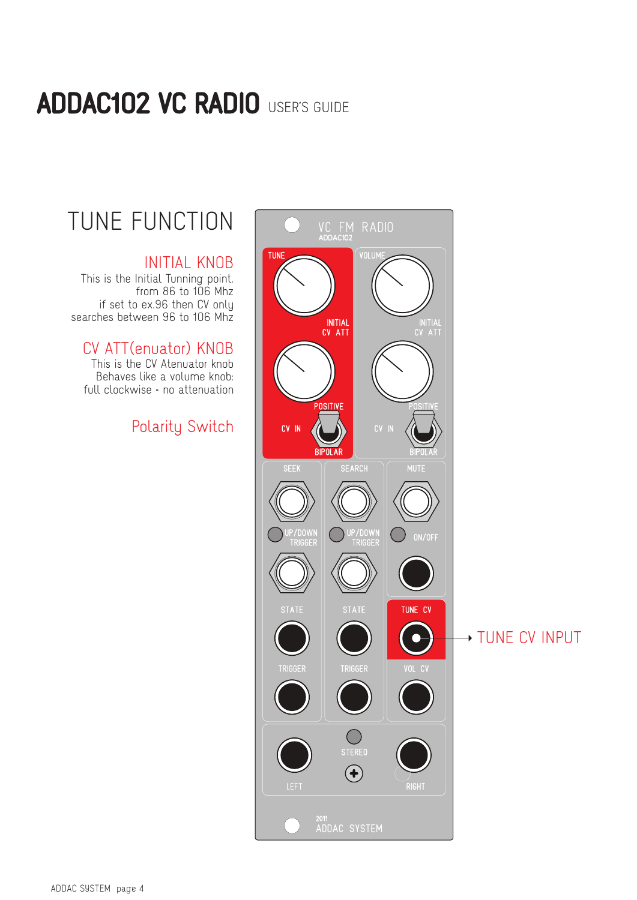# TUNE FUNCTION

#### INITIAL KNOB

This is the Initial Tunning point, from 86 to 106 Mhz if set to ex.96 then CV only searches between 96 to 106 Mhz

### CV ATT(enuator) KNOB

This is the CV Atenuator knob Behaves like a volume knob: full clockwise = no attenuation

### Polarity Switch

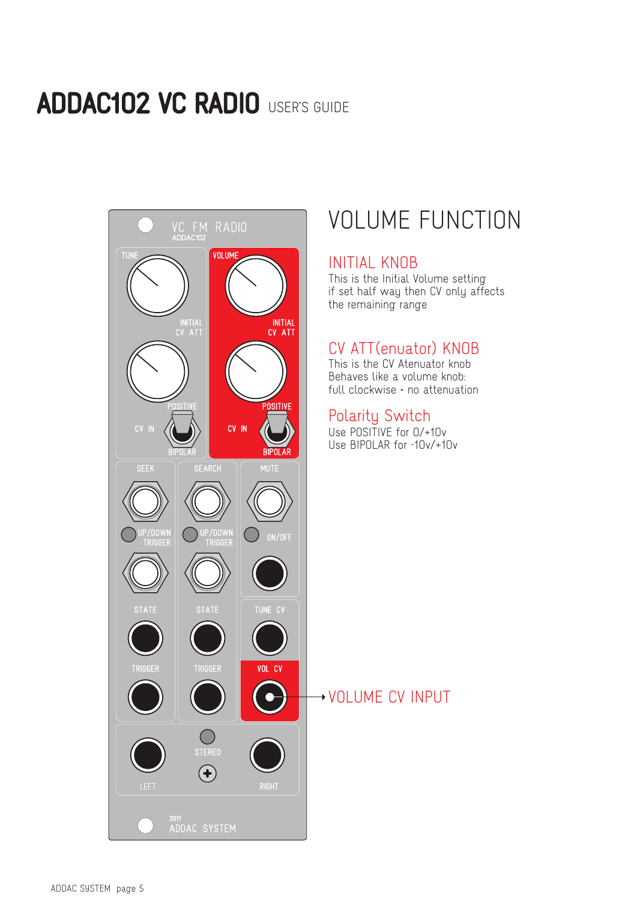

## VOLUME FUNCTION

#### INITIAL KNOB

This is the Initial Volume setting if set half way then CV only affects the remaining range

### CV ATT(enuator) KNOB

This is the CV Atenuator knob Behaves like a volume knob: full clockwise = no attenuation

#### Polarity Switch

Use POSITIVE for 0/+10v Use BIPOLAR for -10v/+10v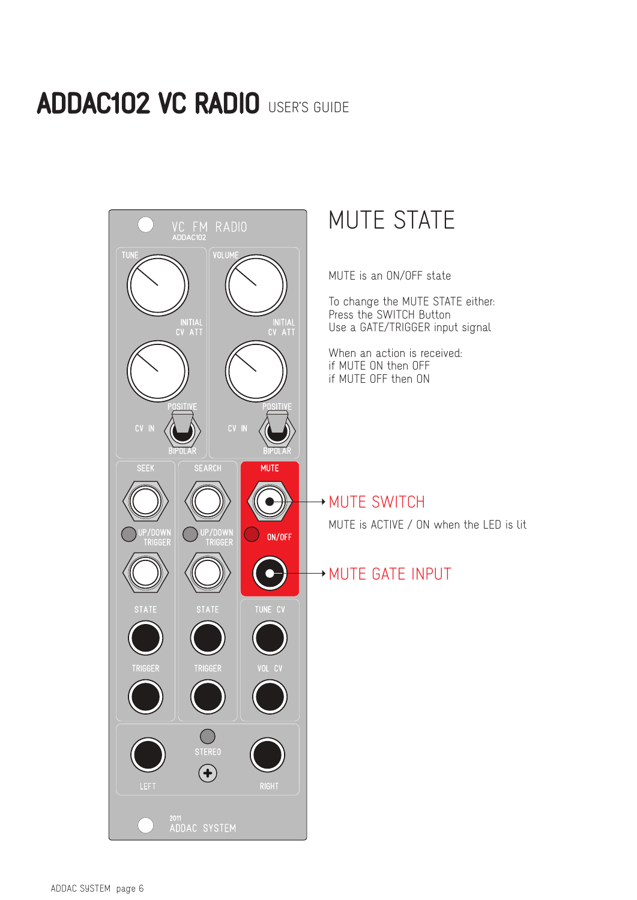![](_page_5_Picture_1.jpeg)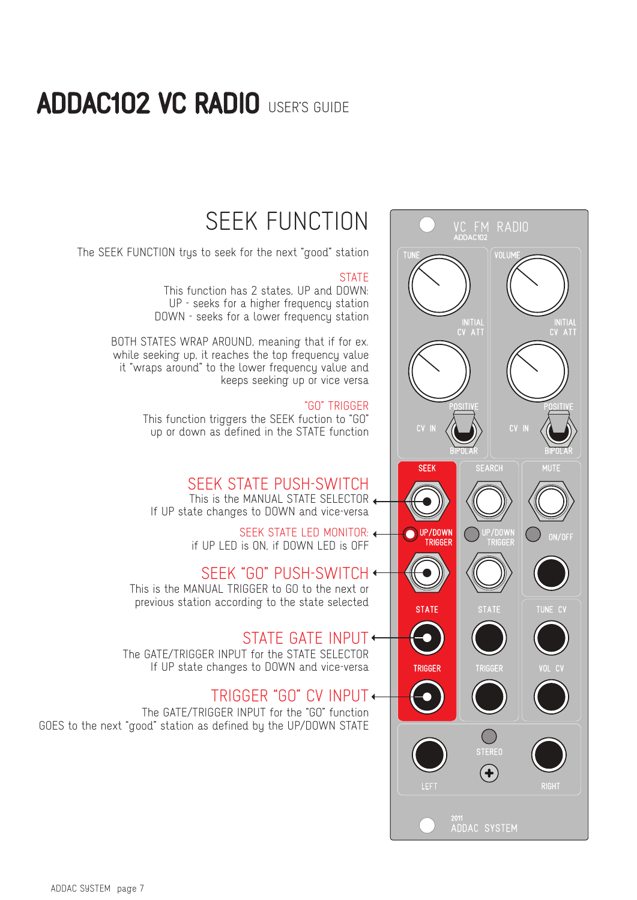![](_page_6_Picture_1.jpeg)

## SEEK FUNCTION

The SEEK FUNCTION trys to seek for the next "good" station

#### **STATE**

This function has 2 states, UP and DOWN: UP - seeks for a higher frequency station DOWN - seeks for a lower frequency station

BOTH STATES WRAP AROUND, meaning that if for ex. while seeking up, it reaches the top frequency value it "wraps around" to the lower frequency value and keeps seeking up or vice versa

#### "GO" TRIGGER

This function triggers the SEEK fuction to "GO" up or down as defined in the STATE function

### SEEK STATE PUSH-SWITCH

This is the MANUAL STATE SELECTOR + If UP state changes to DOWN and vice-versa

> SEEK STATE LED MONITOR: + if UP LED is ON, if DOWN LED is OFF

This is the MANUAL TRIGGER to GO to the next or previous station according to the state selected SEEK "GO" PUSH-SWITCH

### STATE GATE INPUT

The GATE/TRIGGER INPUT for the STATE SELECTOR If UP state changes to DOWN and vice-versa

### TRIGGER "GO" CV INPUT

The GATE/TRIGGER INPUT for the "GO" function GOES to the next "good" station as defined by the UP/DOWN STATE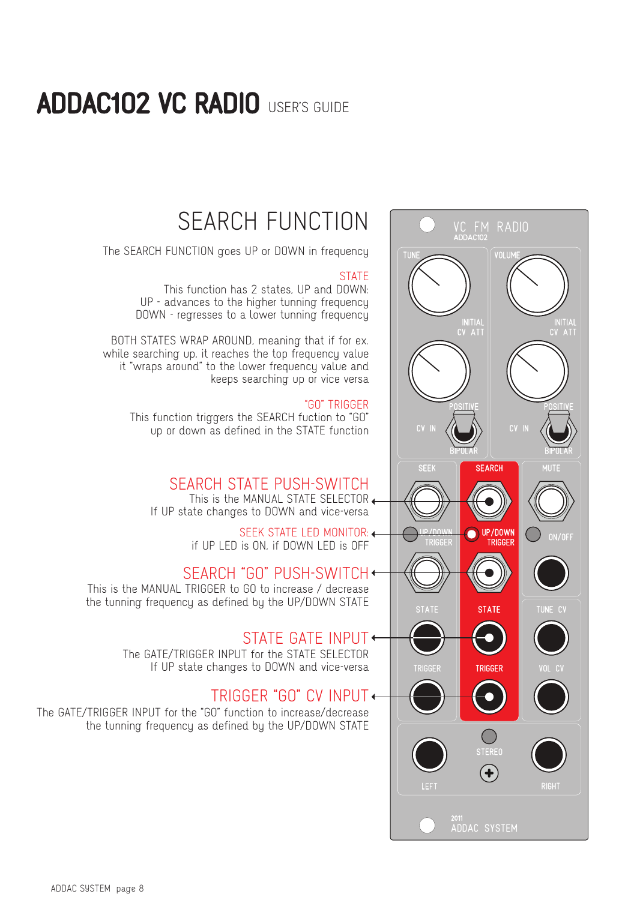![](_page_7_Picture_1.jpeg)

## SEARCH FUNCTION

The SEARCH FUNCTION goes UP or DOWN in frequency

#### **STATE**

This function has 2 states, UP and DOWN: UP - advances to the higher tunning frequency DOWN - regresses to a lower tunning frequency

BOTH STATES WRAP AROUND, meaning that if for ex. while searching up, it reaches the top frequency value it "wraps around" to the lower frequency value and keeps searching up or vice versa

#### "GO" TRIGGER

This function triggers the SEARCH fuction to "GO" up or down as defined in the STATE function

### SEARCH STATE PUSH-SWITCH

This is the MANUAL STATE SELECTOR + If UP state changes to DOWN and vice-versa

> SEEK STATE LED MONITOR: if UP LED is ON, if DOWN LED is OFF

### SEARCH "GO" PUSH-SWITCH

This is the MANUAL TRIGGER to GO to increase / decrease the tunning frequency as defined by the UP/DOWN STATE

### STATE GATE INPUT

The GATE/TRIGGER INPUT for the STATE SELECTOR If UP state changes to DOWN and vice-versa

### TRIGGER "GO" CV INPUT

The GATE/TRIGGER INPUT for the "GO" function to increase/decrease the tunning frequency as defined by the UP/DOWN STATE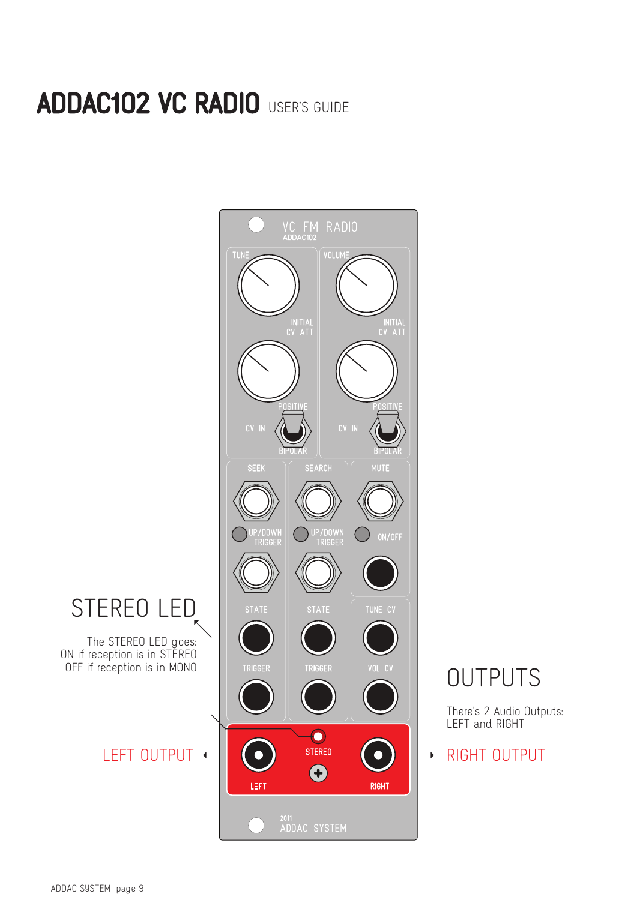![](_page_8_Figure_1.jpeg)